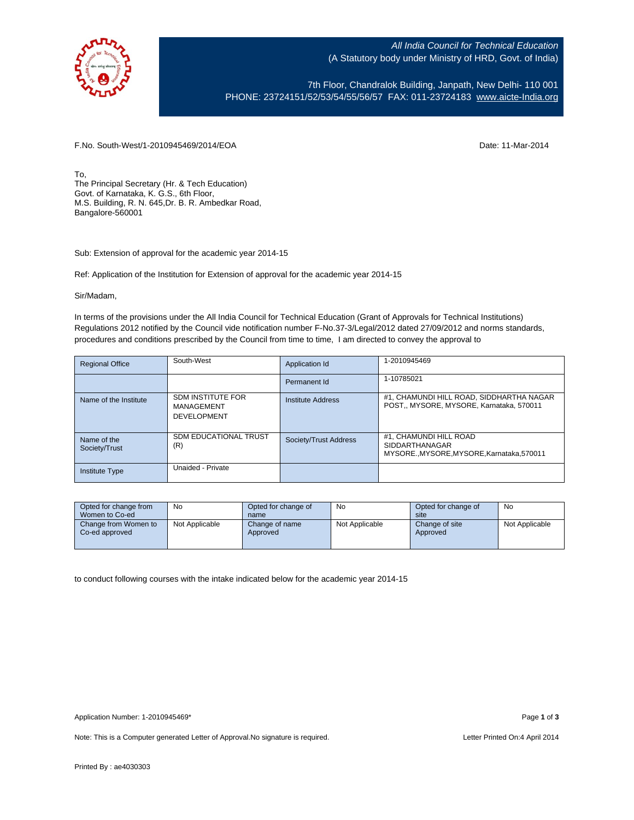

All India Council for Technical Education (A Statutory body under Ministry of HRD, Govt. of India)

7th Floor, Chandralok Building, Janpath, New Delhi- 110 001 PHONE: 23724151/52/53/54/55/56/57 FAX: 011-23724183 [www.aicte-India.org](http://www.aicte-india.org/)

F.No. South-West/1-2010945469/2014/EOA Date: 11-Mar-2014

To, The Principal Secretary (Hr. & Tech Education) Govt. of Karnataka, K. G.S., 6th Floor, M.S. Building, R. N. 645,Dr. B. R. Ambedkar Road, Bangalore-560001

Sub: Extension of approval for the academic year 2014-15

Ref: Application of the Institution for Extension of approval for the academic year 2014-15

Sir/Madam,

In terms of the provisions under the All India Council for Technical Education (Grant of Approvals for Technical Institutions) Regulations 2012 notified by the Council vide notification number F-No.37-3/Legal/2012 dated 27/09/2012 and norms standards, procedures and conditions prescribed by the Council from time to time, I am directed to convey the approval to

| <b>Regional Office</b>       | South-West                                                   | Application Id           | 1-2010945469                                                                           |
|------------------------------|--------------------------------------------------------------|--------------------------|----------------------------------------------------------------------------------------|
|                              |                                                              | Permanent Id             | 1-10785021                                                                             |
| Name of the Institute        | <b>SDM INSTITUTE FOR</b><br>MANAGEMENT<br><b>DEVELOPMENT</b> | <b>Institute Address</b> | #1, CHAMUNDI HILL ROAD, SIDDHARTHA NAGAR<br>POST., MYSORE, MYSORE, Karnataka, 570011   |
| Name of the<br>Society/Trust | <b>SDM EDUCATIONAL TRUST</b><br>(R)                          | Society/Trust Address    | #1, CHAMUNDI HILL ROAD<br>SIDDARTHANAGAR<br>MYSORE., MYSORE, MYSORE, Karnataka, 570011 |
| Institute Type               | Unaided - Private                                            |                          |                                                                                        |

| Opted for change from                  | No             | Opted for change of        | No             | Opted for change of        | No             |
|----------------------------------------|----------------|----------------------------|----------------|----------------------------|----------------|
| Women to Co-ed                         |                | name                       |                | site                       |                |
| Change from Women to<br>Co-ed approved | Not Applicable | Change of name<br>Approved | Not Applicable | Change of site<br>Approved | Not Applicable |

to conduct following courses with the intake indicated below for the academic year 2014-15

Note: This is a Computer generated Letter of Approval.No signature is required. Letter Printed On:4 April 2014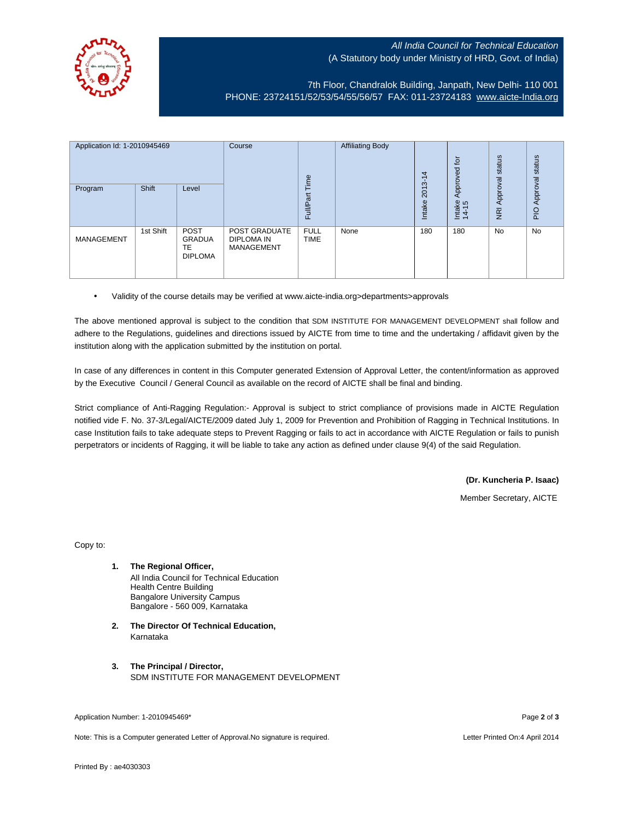## All India Council for Technical Education (A Statutory body under Ministry of HRD, Govt. of India)



7th Floor, Chandralok Building, Janpath, New Delhi- 110 001 PHONE: 23724151/52/53/54/55/56/57 FAX: 011-23724183 [www.aicte-India.org](http://www.aicte-india.org/)

| Application Id: 1-2010945469<br>Program | Shift     | Level                                                       | Course                                                  | Time<br>Full/Part          | <b>Affiliating Body</b> | 4<br>$\overline{\phantom{0}}$<br>2013<br>Intake | $\overline{p}$<br>Approved<br>Intake<br>14-15 | status<br>Approval<br>$\overline{g}$ | status<br>Approval<br>$\frac{1}{2}$ |
|-----------------------------------------|-----------|-------------------------------------------------------------|---------------------------------------------------------|----------------------------|-------------------------|-------------------------------------------------|-----------------------------------------------|--------------------------------------|-------------------------------------|
| <b>MANAGEMENT</b>                       | 1st Shift | <b>POST</b><br><b>GRADUA</b><br><b>TE</b><br><b>DIPLOMA</b> | POST GRADUATE<br><b>DIPLOMA IN</b><br><b>MANAGEMENT</b> | <b>FULL</b><br><b>TIME</b> | None                    | 180                                             | 180                                           | No                                   | <b>No</b>                           |

• Validity of the course details may be verified at www.aicte-india.org>departments>approvals

The above mentioned approval is subject to the condition that SDM INSTITUTE FOR MANAGEMENT DEVELOPMENT shall follow and adhere to the Regulations, guidelines and directions issued by AICTE from time to time and the undertaking / affidavit given by the institution along with the application submitted by the institution on portal.

In case of any differences in content in this Computer generated Extension of Approval Letter, the content/information as approved by the Executive Council / General Council as available on the record of AICTE shall be final and binding.

Strict compliance of Anti-Ragging Regulation:- Approval is subject to strict compliance of provisions made in AICTE Regulation notified vide F. No. 37-3/Legal/AICTE/2009 dated July 1, 2009 for Prevention and Prohibition of Ragging in Technical Institutions. In case Institution fails to take adequate steps to Prevent Ragging or fails to act in accordance with AICTE Regulation or fails to punish perpetrators or incidents of Ragging, it will be liable to take any action as defined under clause 9(4) of the said Regulation.

**(Dr. Kuncheria P. Isaac)**

Member Secretary, AICTE

Copy to:

- **1. The Regional Officer,** All India Council for Technical Education Health Centre Building Bangalore University Campus Bangalore - 560 009, Karnataka
- **2. The Director Of Technical Education,** Karnataka
- **3. The Principal / Director,** SDM INSTITUTE FOR MANAGEMENT DEVELOPMENT

Application Number: 1-2010945469\* Page **2** of **3**

Note: This is a Computer generated Letter of Approval.No signature is required. Letter Printed On:4 April 2014